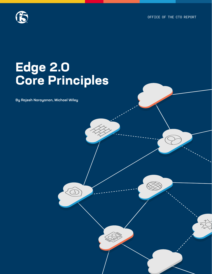OFFICE OF THE CTO REPORT



# **Edge 2.0 Core Principles**

By Rajesh Narayanan, Michael Wiley

**Continuous Continuous** 

Challenges and Opportunities in an API-Driven Economy.

**CONTROL** 

**API Sprawling Company**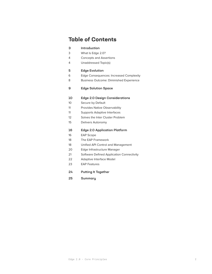# **Table of Contents**

| з               | Introduction                                   |  |  |  |
|-----------------|------------------------------------------------|--|--|--|
| 3               | What Is Edge 2.0?                              |  |  |  |
| 4               | <b>Concepts and Assertions</b>                 |  |  |  |
| 4               | Unaddressed Topic(s)                           |  |  |  |
| 5               | <b>Edge Evolution</b>                          |  |  |  |
| 6               | <b>Edge Consequences: Increased Complexity</b> |  |  |  |
| 8               | <b>Business Outcome: Diminished Experience</b> |  |  |  |
|                 |                                                |  |  |  |
| 9               | <b>Edge Solution Space</b>                     |  |  |  |
| 10              | <b>Edge 2.0 Design Considerations</b>          |  |  |  |
| 10 <sup>°</sup> |                                                |  |  |  |
| 11              | Secure by Default                              |  |  |  |
|                 | <b>Provides Native Observability</b>           |  |  |  |
| 11              | <b>Supports Adaptive Interfaces</b>            |  |  |  |
| 12 <sup>2</sup> | Solves the Inter Cluster Problem               |  |  |  |
| 15              | Delivers Autonomy                              |  |  |  |
| 16              | <b>Edge 2.0 Application Platform</b>           |  |  |  |
| 16              | <b>EAP Scope</b>                               |  |  |  |
| 18              | The EAP Framework                              |  |  |  |
| 18              | Unified API Control and Management             |  |  |  |
| 20              | Edge Infrastructure Manager                    |  |  |  |
| 21              | Software Defined Application Connectivity      |  |  |  |
| 22              | <b>Adaptive Interface Model</b>                |  |  |  |
| 23              | <b>EAP Features</b>                            |  |  |  |
| 24              | <b>Putting It Together</b>                     |  |  |  |
| 25              | Summary                                        |  |  |  |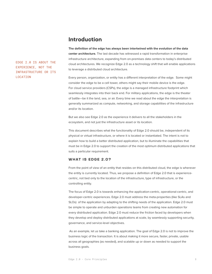### **Introduction**

<span id="page-2-0"></span>EDGE 2.0 IS ABOUT THE EXPERIENCE, NOT THE INFRASTRUCTURE OR ITS LOCATION

**The definition of the edge has always been intertwined with the evolution of the data center architecture.** The last decade has witnessed a rapid transformation in enterprise infrastructure architecture, expanding from on-premises data centers to today's distributed cloud architectures. We recognize Edge 2.0 as a technology shift that will enable applications to leverage a distributed cloud architecture.

Every person, organization, or entity has a different interpretation of the edge. Some might consider the edge to be a cell tower, others might say their mobile device is the edge. For cloud service providers (CSPs), the edge is a managed infrastructure footprint which seamlessly integrates into their back end. For military applications, the edge is the theater of battle—be it the land, sea, or air. Every time we read about the edge the interpretation is generally summarized as compute, networking, and storage capabilities of the infrastructure and/or its location.

But we also see Edge 2.0 as the experience it delivers to all the stakeholders in the ecosystem, and not just the infrastructure asset or its location.

This document describes what the functionality of Edge 2.0 should be, independent of its physical or virtual infrastructure, or where it is located or instantiated. The intent is not to explain how to build a better distributed application, but to illuminate the capabilities that must be in Edge 2.0 to support the creation of the most optimum distributed applications that suits a particular requirement.

#### **WHAT IS EDGE 2.0?**

From the point of view of an entity that resides on this distributed cloud, the edge is wherever the entity is currently located. Thus, we propose a definition of Edge 2.0 that is experiencecentric, not tied only to the location of the infrastructure, type of infrastructure, or the controlling entity.

The focus of Edge 2.0 is towards enhancing the application-centric, operational-centric, and developer-centric experiences. Edge 2.0 must address the meta-properties (like SLAs and SLOs) of the application by adapting to the shifting needs of the application. Edge 2.0 must be simple to operate and unburden operations teams from creating new automation for every distributed application. Edge 2.0 must reduce the friction faced by developers when they develop and deploy distributed applications at scale, by seamlessly supporting security, governance, and service-level objectives.

 As an example, let us take a banking application. The goal of Edge 2.0 is not to improve the business logic of the transaction. It is about making it more secure, faster, private, usable across all geographies (as needed), and scalable up or down as needed to support the business goals.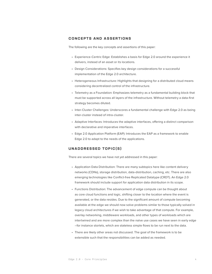#### <span id="page-3-0"></span>**CONCEPTS AND ASSERTIONS**

The following are the key concepts and assertions of this paper:

- Experience-Centric Edge: Establishes a basis for Edge 2.0 around the experience it delivers, instead of an asset or its locations.
- Design Considerations: Specifies key design considerations for a successful implementation of the Edge 2.0 architecture.
- Heterogeneous Infrastructure: Highlights that designing for a distributed cloud means considering decentralized control of the infrastructure.
- Telemetry as a Foundation: Emphasizes telemetry as a fundamental building block that must be supported across all layers of the infrastructure. Without telemetry a data-first strategy becomes diluted.
- Inter-Cluster Challenges: Underscores a fundamental challenge with Edge 2.0 as being inter-cluster instead of intra-cluster.
- Adaptive Interfaces: Introduces the adaptive interfaces, offering a distinct comparison with declarative and imperative interfaces.
- Edge 2.0 Application Platform (EAP): Introduces the EAP as a framework to enable Edge 2.0 to adapt to the needs of the applications.

#### **UNADDRESSED TOPIC(S)**

There are several topics we have not yet addressed in this paper:

- Application Data Distribution: There are many subtopics here like content delivery networks (CDNs), storage distribution, data-distribution, caching, etc. There are also emerging technologies like Conflict-free Replicated Datatype (CRDT). An Edge 2.0 framework should include support for application data distribution in its scope.
- Functions Distribution: The advancement of edge compute can be thought about as core cloud functions and logic, shifting closer to the location where the event is generated, or the data resides. Due to the significant amount of compute becoming available at the edge we should now solve problems similar to those typically solved in legacy cloud architectures if we wish to take advantage of that compute. For example, overlay networking, middleware workloads, and other types of workloads which are intertwined and are more complex than the naïve use cases we have seen in early edge –for instance storlets, which are stateless simple flows to be run next to the data.
- There are likely other areas not discussed. The goal of the framework is to be extensible such that the responsibilities can be added as needed.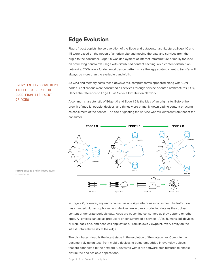# **Edge Evolution**

Figure 1 best depicts the co-evolution of the Edge and datacenter architectures.Edge 1.0 and 1.5 were based on the notion of an origin site and moving the data and services from the origin to the consumer. Edge 1.0 was deployment of internet infrastructure primarily focused on optimizing bandwidth usage with distributed content caching, a.k.a content distribution networks. CDNs are a fundamental design pattern since the aggregate content to transfer will always be more than the available bandwidth.

As CPU and memory costs raced downwards, compute farms appeared along with CDN nodes. Applications were consumed as services through service-oriented architectures (SOA). Hence the reference to Edge 1.5 as Service Distribution Network.

A common characteristic of Edge 1.0 and Edge 1.5 is the idea of an origin site. Before the growth of mobile, people, devices, and things were primarily downloading content or acting as consumers of the service. The site originating the service was still different from that of the consumer.



In Edge 2.0, however, any entity can act as an origin site or as a consumer. The traffic flow has changed. Humans, phones, and devices are actively producing data as they upload content or generate periodic data. Apps are becoming consumers as they depend on other apps. All entities can act as producers or consumers of a service—APIs, humans, IoT devices, or web, back-end, and headless applications. From its own viewpoint, every entity on the infrastructure thinks it's at the edge.

The distributed cloud is the latest stage in the evolution of the datacenter. Compute has become truly ubiquitous, from mobile devices to being embedded in everyday objects that are connected to the network. Coevolved with it are software architectures to enable distributed and scalable applications.

**Figure 1:** Edge and infrastructure co-evolution

EVERY ENTITY CONSIDERS ITSELF TO BE AT THE EDGE FROM ITS POINT

OF VIEW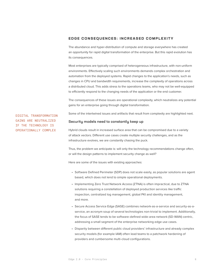#### <span id="page-5-0"></span>**EDGE CONSEQUENCES: INCREASED COMPLEXITY**

The abundance and hyper-distribution of compute and storage everywhere has created an opportunity for rapid digital transformation of the enterprise. But this rapid evolution has its consequences.

Most enterprises are typically comprised of heterogeneous infrastructure, with non-uniform environments. Effectively scaling such environments demands complex orchestration and automation from the deployed systems. Rapid changes to the application's needs, such as changes in CPU and bandwidth requirements, increase the complexity of operations across a distributed cloud. This adds stress to the operations teams, who may not be well-equipped to efficiently respond to the changing needs of the application or the end customer.

The consequences of these issues are operational complexity, which neutralizes any potential gains for an enterprise going through digital transformation.

Some of the intertwined issues and artifacts that result from complexity are highlighted next.

DIGITAL TRANSFORMATION GAINS ARE NEUTRALIZED IF THE TECHNOLOGY IS OPERATIONALLY COMPLEX

#### Security models need to constantly keep up

Hybrid clouds result in increased surface area that can be compromised due to a variety of attack vectors. Different use cases create multiple security challenges, and as the infrastructure evolves, we are constantly chasing the puck.

Thus, the problem we anticipate is: will only the technology recommendations change often, or will the design patterns to implement security change as well?

Here are some of the issues with existing approaches:

- Software Defined Perimeter (SDP) does not scale easily, as popular solutions are agent based, which does not lend to simple operational deployments.
- Implementing Zero Trust Network Access (ZTNA) is often impractical, due to ZTNA solutions requiring a constellation of deployed production services like traffic inspection, centralized log management, global PKI and identity management, and more.
- Secure Access Service Edge (SASE) combines network-as-a-service and security-as-aservice, an acronym soup of several technologies non-trivial to implement. Additionally, the focus of SASE tends to be software-defined wide-area network (SD-WAN) centric, addressing a small segment of the enterprise networking edge use cases.
- Disparity between different public cloud providers' infrastructure and already complex security models (for example IAM) often lead teams to a patchwork hardening of providers and cumbersome multi-cloud configurations.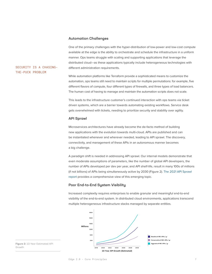#### Automation Challenges

One of the primary challenges with the hyper-distribution of low-power and low-cost compute available at the edge is the ability to orchestrate and schedule the infrastructure in a uniform manner. Ops teams struggle with scaling and supporting applications that leverage the distributed cloud—as these applications typically include heterogeneous technologies with different administration requirements.

While automation platforms like Terraform provide a sophisticated means to customize the automation, ops teams still need to maintain scripts for multiple permutations: for example, five different flavors of compute, four different types of firewalls, and three types of load balancers. The human cost of having to manage and maintain the automation scripts does not scale.

This leads to the infrastructure customer's continued interaction with ops teams via ticket driven systems, which are a barrier towards automating existing workflows. Service desk gets overwhelmed with tickets, needing to prioritize security and stability over agility.

#### API Sprawl

Microservices architectures have already become the de-facto method of building new applications with the evolution towards multi-cloud. APIs are published and can be instantiated whenever and wherever needed, leading to API sprawl. The discovery, connectivity, and management of these APIs in an autonomous manner becomes a big challenge.

A paradigm shift is needed in addressing API sprawl. Our internal models demonstrate that even moderate assumptions of parameters, like the number of global API developers, the number of APIs developed per dev per year, and API shelf-life, result in many 100s of millions (if not billions) of APIs being simultaneously active by 2030 (Figure 2). The 2021 API Sprawl report provides a comprehensive view of this emerging topic.

#### Poor End-to-End System Visibility

Increased complexity requires enterprises to enable granular and meaningful end-to-end visibility of the end-to-end system. In distributed cloud environments, applications transcend multiple heterogeneous infrastructure stacks managed by separate entities.



**Figure 2:** 10-Year Estimated API Growth

SECURITY IS A CHASING-

THE-PUCK PROBLEM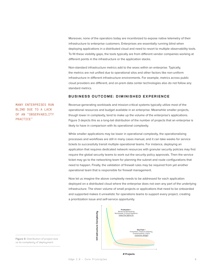<span id="page-7-0"></span>Moreover, none of the operators today are incentivized to expose native telemetry of their infrastructure to enterprise customers. Enterprises are essentially running blind when deploying applications in a distributed cloud and need to resort to multiple observability tools. To fill these visibility gaps, the tools typically are from different vendor companies working at different points in the infrastructure or the application stacks.

Non-standard infrastructure metrics add to the woes within an enterprise. Typically, the metrics are not unified due to operational silos and other factors like non-uniform infrastructure in different infrastructure environments. For example, metrics across public cloud providers are different, and on-prem data center technologies also do not follow any standard metrics.

#### **BUSINESS OUTCOME: DIMINISHED EXPERIENCE**

MANY ENTERPRISES RUN BLIND DUE TO A LACK OF AN "OBSERVABILITY PRACTICE"

Revenue-generating workloads and mission-critical systems typically utilize most of the operational resources and budget available in an enterprise. Meanwhile smaller projects, though lower in complexity, tend to make up the volume of the enterprise's applications. Figure 3 depicts this as a long-tail distribution of the number of projects that an enterprise is likely to have in comparison with its operational complexity.

While smaller applications may be lower in operational complexity, the operationalizing processes and workflows are still in many cases manual, and it can take weeks for service tickets to successfully transit multiple operational teams. For instance, deploying an application that requires dedicated network resources with granular security policies may first require the global security teams to work out the security policy approvals. Then the service ticket may go to the networking team for planning the subnet and route configurations that need to happen. Finally, the validation of firewall rules may be required from yet another operational team that is responsible for firewall management.

Now let us imagine the above complexity needs to be addressed for each application deployed on a distributed cloud where the enterprise does not own any part of the underlying infrastructure. The sheer volume of small projects or applications that need to be onboarded and supported makes it unrealistic for operations teams to support every project, creating a prioritization issue and self-service opportunity.



**Figure 3:** Distribution of project size vs its complexity of deployment

**# Projects**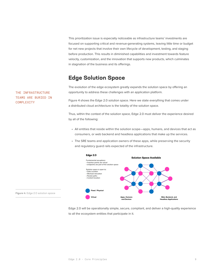<span id="page-8-0"></span>This prioritization issue is especially noticeable as infrastructure teams' investments are focused on supporting critical and revenue-generating systems, leaving little time or budget for net new projects that involve their own lifecycle of development, testing, and staging before production. This results in diminished capabilities and investment towards feature velocity, customization, and the innovation that supports new products, which culminates in stagnation of the business and its offerings.

# **Edge Solution Space**

The evolution of the edge ecosystem greatly expands the solution space by offering an opportunity to address these challenges with an application platform.

Figure 4 shows the Edge 2.0 solution space. Here we state everything that comes under a distributed cloud architecture is the totality of the solution space.

Thus, within the context of the solution space, Edge 2.0 must deliver the experience desired by all of the following:

- All entities that reside within the solution scope—apps, humans, and devices that act as consumers, or web backend and headless applications that make up the services.
- The SRE teams and application owners of these apps, while preserving the security and regulatory guard rails expected of the infrastructure.





THE INFRASTRUCTURE TEAMS ARE BURIED IN COMPLEXITY

**Figure 4:** Edge 2.0 solution space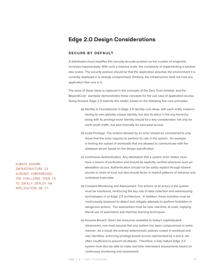# <span id="page-9-0"></span>**Edge 2.0 Design Considerations**

#### **SECURE BY DEFAULT**

A distributed cloud amplifies this security-at-scale problem as the number of endpoints increases exponentially. With such a massive scale, the complexity of implementing a solution also scales. The security posture should be that the application assumes the environment it is currently deployed in is already compromised. Similarly, the infrastructure shall not trust any application that runs in it.

The basis of these ideas is captured in the concepts of the Zero Trust mindset, and the BeyondCorp<sup>1</sup> exemplar demonstrates these concepts for the use case of application access. Going forward, Edge 2.0 extends this model, based on the following five core principles:

- (a) Identity Is Foundational: In Edge 2.0 identity runs deep, with each entity instance having its own globally unique identity, but also its place in the org hierarchy along with its privilege level. Identity should be a key consideration not only for north-south traffic, but also internally for east-west access.
- (b) Least Privilege: The actions allowed by an actor should be constrained to only those that the actor requires to perform its role in the system. An example is limiting the subset of workloads that are allowed to communicate with the database server based on the design specification.
- (c) Continuous Authentication: Any attestation that a system actor makes must have a means of verification and should be explicitly verified whenever such an attestation occurs. Authentication should not be solely explicit through shared secrets or chain of trust, but also should factor in implicit patterns of behavior and contextual meta data.
- (d) Constant Monitoring and Assessment: The actions of all actors in the system must be monitored, reinforcing the key role of data collection and warehousing technologies in an Edge 2.0 architecture. In addition, these activities must be continuously assessed to detect and mitigate attempts to perform forbidden or dangerous actions. The assessment must be near real-time, at scale, implying liberal use of automation and machine learning techniques.
- (e) Assume Breach: Given the resources available to today's sophisticated adversaries, one must assume that any system has been compromised in some manner. As a result, the entirely deterministic policies rooted in workload and user identities, enforcing privilege-based access represented by a and b, are often insufficient to prevent all attacks. Therefore, a fully mature Edge 2.0 system must also be able to make real-time risk/reward assessments based on continuous monitoring and assessment.

ALWAYS ASSUME INFRASTRUCTURE IS ALREADY COMPROMISED. THE CHALLENGE THEN IS TO SAFELY DEPLOY AN APPLICATION ON IT.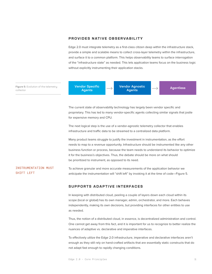#### <span id="page-10-0"></span>**PROVIDES NATIVE OBSERVABILITY**

Edge 2.0 must integrate telemetry as a first-class citizen deep within the infrastructure stack, provide a simple and scalable means to collect cross-layer telemetry within the infrastructure, and surface it to a common platform. This helps observability teams to surface interrogation of the "infrastructure state" as needed. This lets application teams focus on the business logic without explicitly instrumenting their application stacks.

**Figure 5:** Evolution of the telemetry **Agent of the telemetry (Carl Condon Specific Transform Transform Transform Agent Agent Agent Scollector and Agent Scollector and Agent Scollector and Agent Scollector and Agents and** collector

Vendor Specific Agents

Vendor Agnostic

The current state of observability technology has largely been vendor specific and proprietary. This has led to many vendor-specific agents collecting similar signals that jostle for expensive memory and CPU.

The next logical step is the use of a vendor-agnostic telemetry collector that enables infrastructure and traffic data to be streamed to a centralized data platform.

Many product teams struggle to justify the investment in instrumentation, as the effort needs to map to a revenue opportunity. Infrastructure should be instrumented like any other business function or process, because the team needs to understand its behavior to optimize it for the business's objectives. Thus, the debate should be more on what should be prioritized to instrument, as opposed to its need.

#### INSTRUMENTATION MUST SHIFT LEFT

To achieve granular and more accurate measurements of the application behavior we anticipate the instrumentation will "shift left" by invoking it at the time of code—Figure 5.

#### **SUPPORTS ADAPTIVE INTERFACES**

In keeping with distributed cloud, peeling a couple of layers down each cloud within its scope (local or global) has its own manager, admin, orchestrator, and more. Each behaves independently, making its own decisions, but providing interfaces for other entities to use as needed.

Thus, the notion of a distributed cloud, in essence, is decentralized administration and control. One cannot get away from this fact, and it is important for us to recognize to better realize the nuances of adaptive vs. declarative and imperative interfaces.

To effectively utilize the Edge 2.0 infrastructure, imperative and declarative interfaces aren't enough as they still rely on hand-crafted artifacts that are essentially static constructs that do not adapt fast enough to rapidly changing conditions.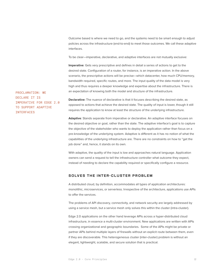Outcome based is where we need to go, and the systems need to be smart enough to adjust policies across the infrastructure (end-to-end) to meet those outcomes. We call these adaptive interfaces.

To be clear—imperative, declarative, and adaptive interfaces are not mutually exclusive:

**Imperative**: Gets very prescriptive and defines in detail a series of actions to get to the desired state. Configuration of a router, for instance, is an imperative action. In the above scenario, the prescriptive actions will be precise—which datacenter, how much CPU/memory, bandwidth required, specific routes, and more. The input quality of the data model is very high and thus requires a deeper knowledge and expertise about the infrastructure. There is an expectation of knowing both the model and structure of the infrastructure.

PROCLAMATION: WE DECLARE IT IS IMPERATIVE FOR EDGE 2.0 TO SUPPORT ADAPTIVE INTERFACES

**Declarative:** The nuance of declarative is that it focuses describing the desired state, as opposed to actions that achieve the desired state. The quality of input is lower, though it still requires the application to know at least the structure of the underlying infrastructure.

**Adaptive**: Stands separate from imperative or declarative. An adaptive interface focuses on the desired objective or goal, rather than the state. The adaptive interface's goal is to capture the objective of the stakeholder who wants to deploy the application rather than focus on a pre-knowledge of the underlying system. Adaptive is different as it has no notion of what the capabilities of the underlying infrastructure are. There are no constraints on how to "get the job done" and, hence, it stands on its own.

With adaptive, the quality of the input is low and approaches natural language. Application owners can send a request to tell the infrastructure controller what outcome they expect, instead of needing to declare the capability required or specifically configure a resource.

#### **SOLVES THE INTER-CLUSTER PROBLEM**

A distributed cloud, by definition, accommodates all types of application architectures: monolithic, microservices, or serverless. Irrespective of the architecture, applications use APIs to offer the services.

The problems of API discovery, connectivity, and network security are largely addressed by using a service mesh, but a service mesh only solves this within the cluster (intra-cluster).

Edge 2.0 applications on the other hand leverage APIs across a hyper-distributed cloud infrastructure, in essence a multi-cluster environment. New applications are written with APIs crossing organizational and geographic boundaries. Some of the APIs might be private or partner APIs behind multiple layers of firewalls without an explicit route between them, even if they are discoverable. This heterogeneous cluster (inter-cluster) problem is without an elegant, lightweight, scalable, and secure solution that is practical.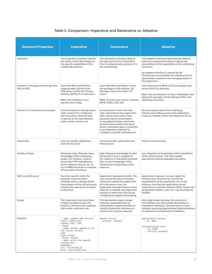#### Table 1: Comparison: Imperative and Declarative vs. Adaptive

| <b>Scenario/Properties</b>                         | <b>Imperative</b>                                                                                                                                                                                                                                                                  | <b>Declarative</b>                                                                                                                                                                                                                                                                                                            | <b>Adaptive</b>                                                                                                                                                                                                                                                                                      |
|----------------------------------------------------|------------------------------------------------------------------------------------------------------------------------------------------------------------------------------------------------------------------------------------------------------------------------------------|-------------------------------------------------------------------------------------------------------------------------------------------------------------------------------------------------------------------------------------------------------------------------------------------------------------------------------|------------------------------------------------------------------------------------------------------------------------------------------------------------------------------------------------------------------------------------------------------------------------------------------------------|
| Definition                                         | The imperative interface defines<br>the detail control flow based on<br>the specific capabilities of the<br>underlying resource.                                                                                                                                                   | The declarative interface defines<br>the logic but not the control flow.<br>From a programmatic parlance it is<br>the pseudocode.                                                                                                                                                                                             | The adaptive interface expresses the desired<br>state as a requirement without making any<br>assumptions of the capabilities of the underlying<br>resources.                                                                                                                                         |
|                                                    |                                                                                                                                                                                                                                                                                    |                                                                                                                                                                                                                                                                                                                               | An adaptive interface is owned by the<br>infrastructure and enables the infrastructure to<br>dynamically respond to the changing needs of<br>the application.                                                                                                                                        |
| Scenario 1: Package needs to go from<br>SFO to NYC | Jane tells Mark: (a) Print the<br>shipping label, (b) Go to the<br>UPS store, (c) Pick the 72-hour<br>delivery, (d) Pay for it and ship it<br>Mark: Has to follow a very<br>specific set of steps                                                                                  | Jane asks Mark: (a) Please courier<br>this package to this address, (b)<br>Package must arrive within 72<br>hours.<br>Mark: Can pick any courier company<br>(UPS, FedEx, DHL etc).                                                                                                                                            | Jane expresses to Mark: (a) This package must<br>arrive in NYC by Saturday.<br>Mark: Can do whatever he likes. Potentially even<br>taking the package himself, flying to NYC, and<br>delivering it by hand.                                                                                          |
| Scenario 2: Load balancer example                  | The load balancer already exists.<br>Task: needs to be configured<br>with this policy. Here the task<br>is specific to the load balancer<br>make, model, version, etc.                                                                                                             | A load balancer does not exist.<br>Task: load balance the application<br>with a given open policy. Task<br>assumes that an orchestration<br>or management layer exists and<br>declares what needs to be done.<br>Action: Ultimately task is converted<br>to an imperative interface to<br>configure a specific load balancer. | No assumptions about the underlying<br>infrastructure. Please ensure the application<br>scales as needed, with a max latency of 10 ms.                                                                                                                                                               |
| Ownership                                          | Joint ownership: application<br>and infrastructure                                                                                                                                                                                                                                 | Joint ownership: application and<br>infrastructure                                                                                                                                                                                                                                                                            | Only the infrastructure                                                                                                                                                                                                                                                                              |
| Quality of Input                                   | Extremely high. Requires deep<br>knowledge of the underlying<br>scope. For instance, need to<br>know which F5 load balancer,<br>which software version, etc. A<br>CLI or NMS would be an example<br>of imperative interfaces.                                                      | High: Requires knowledge of what<br>the infrastructure is capable of.<br>For instance, in the above example<br>there is pre-knowledge of the<br>infrastructure supporting a load<br>balancer.                                                                                                                                 | Low: Requires no knowledge of the capabilities<br>of the infrastructure. The input quality<br>approaches natural language equivalent.                                                                                                                                                                |
| Skill Level (Persona)                              | Function-specific skills. For<br>example, network admin,<br>compute admin, storage admin.<br>Every aspect of the infrastructure<br>requires the user to be an expert<br>in that area.                                                                                              | Application deployment skills. The<br>user knows the type of function<br>required to deploy the application.<br>As in the above case, the<br>application manager knows a load<br>balancer is needed, and high-level<br>policies on which the LB must be<br>configured to support autoscaling.                                 | Application engineer. Can just signal the<br>infrastructure what the non-functional<br>requirements of the application are. In this<br>instance, how fast the application should<br>respond to a customer request. Other factors like<br>geographic location, cost, etc., can be added as<br>needed. |
| Scope                                              | The imperative interfaces have<br>a highly localized scope. For<br>instance, infrastructure, network,<br>data center, rack-level, etc.                                                                                                                                             | The declarative scope is larger.<br>Typically, associated with an<br>orchestration engine that talks to<br>multiple imperative interfaces to<br>achieve the outcome required.                                                                                                                                                 | Very large scope because the outcome of<br>the interface can call multiple declarative or<br>imperative interfaces. The execution is more<br>complex requiring sophisticated implementations<br>of imperative and declarative interfaces.                                                            |
| Example                                            | - name: update web servers<br>hosts: webservers<br>remote_user: root<br>tasks:<br>- name: ensure apache is at<br>the latest version<br>yum:<br>name: httpd<br>state: latest<br>- name: write the apache<br>config file<br>template:<br>src: /srv/httpd.j2<br>dest: /etc/httpd.conf | apache-server:<br>version: "latest"                                                                                                                                                                                                                                                                                           | application-latency:<br>$- It: 10ms$<br>infrastructure-cost:<br>- lt: \$200<br>- billing: monthly                                                                                                                                                                                                    |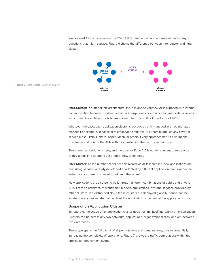We covered APIs extensively in the 2021 API Sprawl report<sup>2</sup> and address within it many questions that might surface. Figure 6 shows the difference between inter-cluster and intracluster.



**Figure 6:** Intra-cluster vs inter-cluster

**Intra-Cluster:** In a monolithic architecture, there might be very few APIs exposed with internal communication between modules via other inter-process communication methods. Whereas a micro-service architecture is broken down into dozens, if not hundreds, of APIs.

Whatever the case, each application cluster is developed and managed in an opinionated manner. For example, in cases of microservice architecture a team might use any flavor of service mesh—Istio, Linkerd, Aspen Mesh, or others. Every approach has its own means to manage and control the APIs within its cluster, in other words, intra-cluster.

There are many solutions here, and the goal for Edge 2.0 is not to re-invent or force orgs or dev teams into adopting yet another new technology.

**Inter-Cluster**: As the number of services delivered via APIs increases, new applications are built using services already developed or adopted by different application teams within the enterprise, as there is no need to reinvent the wheel.

New applications are also being built through different combinations of public and private APIs. From an architecture standpoint, modern applications leverage services provided by other clusters. In a distributed cloud these clusters are deployed globally, hence, can be located on any real estate that can host the application or be part of the application cluster.

#### Scope of an Application Cluster

To reiterate, the scope of an application cluster does not limit itself just within an organization. Clusters can be across any two networks, applications, organizational silos, or even between two enterprises.

The scope spans the full gamut of all permutations and combinations, thus exponentially increasing the complexity of operations. Figure 7 shows the traffic permutations within the application deployment scope.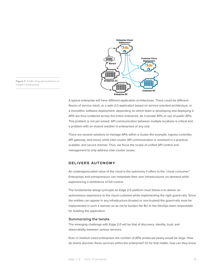

<span id="page-14-0"></span>**Figure 7:** Traffic-flow permutations in modern enterprises

> A typical enterprise will have different application architectures. There could be different flavors of service mesh, or a web 2.0 application based on service-oriented architecture, or a monolithic software deployment, depending on which team is developing and deploying it. APIs are thus scattered across the entire enterprise, be it private APIs or use of public APIs. This problem is not yet solved. API communication between multiple locations is critical and a problem with an elusive solution in enterprises of any size.

There are several solutions to manage APIs within a cluster (for example, ingress controller, API gateway, and more), while inter-cluster API communication is unsolved in a practical, scalable, and secure manner. Thus, we focus the scope of unified API control and management to only address inter-cluster issues.

#### **DELIVERS AUTONOMY**

An underappreciated value of the cloud is the autonomy it offers to the "cloud consumer." Enterprises and entrepreneurs can instantiate their own infrastructures on-demand while experiencing a semblance of full-control.

The fundamental design principle an Edge 2.0 platform must follow is to deliver an autonomous experience to the cloud customer while implementing the right guard-rails. Since the entities can appear in any infrastructure (trusted or non-trusted) the guard-rails must be implemented in such a manner so as not to burden the BU or the DevOps team responsible for building the application.

#### Summarizing the tenets

The emerging challenge with Edge 2.0 will be that of discovery, identity, trust, and observability between various services.

Even in medium sized enterprises the number of APIs produced yearly would be large. How do teams discover these services within the enterprise? Or for that matter, how can they know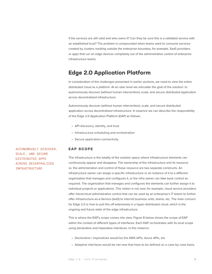<span id="page-15-0"></span>if the services are still valid and who owns it? Can they be sure this is a validated service with an established trust? The problem is compounded when teams want to consume services created by clusters residing outside the enterprise boundary, for example, SaaS providers or apps that run on edge devices completely out of the administrative control of enterprise infrastructure teams.

# **Edge 2.0 Application Platform**

In consideration of the challenges presented in earlier sections, we need to view the entire distributed cloud as a platform. At an uber level we articulate the goal of the solution: to autonomously discover (without human intervention), scale, and secure distributed application across decentralized infrastructure.

Autonomously discover (without human intervention), scale, and secure distributed application across decentralized infrastructure. In essence we can describe the responsibility of the Edge 2.0 Application Platform (EAP) as follows:

- API discovery, identity, and trust
- Infrastructure scheduling and orchestration
- Secure application connectivity

#### **EAP SCOPE**

The infrastructure is the totality of the solution space where infrastructure elements can continuously appear and disappear. The ownership of the infrastructure and its resource vs. the administration and control of those resource are two separate constructs. An infrastructure owner can assign a specific infrastructure or an instance of it to a different organization that manages and configures it, or the infra owner can take back control as required. The organization that manages and configures the elements can further assign it to individual projects or applications. This notion is not new; for example, cloud service providers offer hierarchical administrative control that can be used by an enterprise's IT teams to further offer Infrastructure-as-a-Service (IaaS) to internal business units, teams, etc. The main concern for Edge 2.0 is how to pull this off extensively in a hyper-distributed cloud, which is the ongoing and future state of the edge infrastructure.

This is where the EAP's scope comes into view. Figure 8 below shows the scope of EAP within the context of different types of interfaces. Each EAP orchestrates with its local scope using declarative and imperative interfaces. In this instance:

- Declarative / imperatives would be the AWS APIs, Azure APIs, etc.
- Adaptive interfaces would be net new that have to be defined on a case-by-case basis.

AUTONOMOUSLY DISCOVER, SCALE, AND SECURE DISTRIBUTED APPS ACROSS DECENTRALIZED INFRASTRUCTURE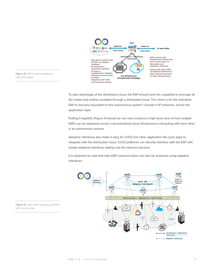

**Figure 8:** EAP scope mapped to

To take advantage of the distributed cloud, the EAP should have the capability to leverage all the nodes and entities available through a distributed cloud. The vision is for the individual EAP to become equivalent to the autonomous system<sup>3</sup> concept in IP networks, but for the application layer.

Putting it together (Figure 9 below) we can now construct a high-level view of how multiple EAPs can be deployed across a decentralized cloud infrastructure interacting with each other in an autonomous manner.

Adaptive interfaces also make it easy for CI/CD and other application life-cycle apps to integrate with the distributed cloud. CI/CD platforms can directly interface with the EAP with simple adaptive interfaces stating only the desired outcome.

It is important to note that inter-EAP communication can also be achieved using adaptive interfaces.



**Figure 9:** High-level topology of EAPs with local scope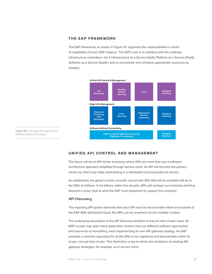#### <span id="page-17-0"></span>**THE EAP FRAMEWORK**

The EAP framework, as shown in Figure 10, organizes the responsibilities in terms of capabilities of each EAP instance. The EAP's role is to interface with the underlay infrastructure controllers—be it Infrastructure as a Service (IaaS), Platform as a Service (PaaS), Software as a Service (SaaS)—and to orchestrate and schedule appropriate resources as needed.



**Figure 10:** The Edge 2.0 Application Platform (EAP) framework

#### **UNIFIED API CONTROL AND MANAGEMENT**

The future will be an API driven economy, where APIs are more than just a software architecture approach simplified through service mesh. An API will become the primary means by which any entity participating in a distributed cloud provides its service.

As established, the global number of public and private APIs that will be available will be in the 100s of millions, if not billions, within the decade. APIs will reshape our economy and thus demand a closer look at what the EAP must implement to support this economy.

#### API Discovery

The impeding API sprawl demands that each API must be discoverable within and outside of the EAP. With distributed cloud, the APIs can be anywhere across multiple clusters.

The underlying assumption is the API discovery problem is truly an inter-cluster issue. An EAP's scope may span many application clusters that use different software approaches (microservices to monolithic), each implementing its own API gateway strategy. An EAP provides a common repository for all the APIs to be registered and discoverable within its scope, not just intra-cluster. This distinction is key to derive the limitations of existing APIgateway strategies, for example, as in service mesh.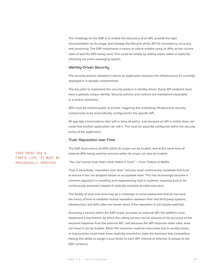The challenge for the EAP is to enable the discovery of an API, provide the right documentation on its usage, and manage the lifecycle of the API for consistency, accuracy, and versioning. The EAP implements a means to inform entities using its APIs on the current state of specific APIs being used. This could be simply by setting expiry dates or explicitly informing via some messaging system.

#### Identity-Driven Security

The security posture adopted is where an application assumes the infrastructure it's currently deployed in is already compromised.

The key pillar to implement this security posture is identity driven. Every API endpoint must have a globally unique identity. Security policies and controls are maintained separately in a central repository.

APIs must be marked public or private, triggering the underlying infrastructure security components to be automatically configured for the specific API.

All app-app conversations start with a deny-all policy. Just because an API is visible does not mean that another application can call it. This must be explicitly configured within the security policy of the application.

#### Trust: Reputation over Time

The EAP must ensure all APIs within its scope can be trusted, and at the same time all external APIs being used by services within its scope can also be trusted.

"You can't prove trust, that's what makes it 'trust'" – From Traitors @ Netflix

Trust is essentially "reputation over time," and you must continuously revalidate that trust to ensure it has not dropped below an acceptable level. This has increasingly become a common approach in modeling and implementing trust in systems, requiring trust to be continuously assessed instead of statically asserted at initial execution.

The fluidity of trust over time may be a challenge to some enterprises that do not have the luxury of time to establish mutual reputation between their and third-party systems. Infrastructure and APIs alike can wreak havoc if the reputation is not closely watched.

Assuming a service within the EAP scope accesses an external API, the platform must implement a mechanism by which the calling service can be assured of the accuracy of the received response from the external API. Just because the API response looks valid, does not mean it can be trusted. Either the response could be inaccurate due to quality issues, or inaccuracies could have been explicitly inserted to make the business less competitive. Having this ability to assign a trust factor to each API, internal or external, is unique to the EAP construct.

#### EVEN TRUST HAS A FINITE LIFE, IT MUST BE PERIODICALLY VERIFIED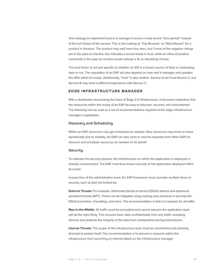<span id="page-19-0"></span>One strategy to implement trust is to average it across a most recent "time period" instead of the full history of the service. This is like looking at "Top Reviews" vs "Most Recent" for a product in Amazon. The product may well have four stars, but if most of the negative ratings are in the past six months, this indicates a recent break in trust, while an influx of positive comments in the past six months would indicate a fix or rebuilding of trust.

The trust factor is not just specific to whether an API is a known source of false or misleading data or not. The reputation of an EAP will also depend on how well it manages and updates the APIs within its scope. Additionally, "trust" is also relative. Service A can trust Service C, but Service B may have a different experience with Service C.

#### **EDGE INFRASTRUCTURE MANAGER**

With a distributed cloud being the basis of Edge 2.0 infrastructure, it becomes imperative that the resources within the scope of an EAP be easy to discover, secured, and instrumented. The following can be read as a set of recommendations required of the edge infrastructure manager's capabilities.

#### Discovery and Scheduling

Within an EAP, resources may get scheduled as needed. New resources may arrive or leave dynamically due to mobility. An EAP can also send or receive requests from other EAPs to discover and schedule resources as needed on its behalf.

#### **Security**

To reiterate the security posture: the infrastructure on which the application is deployed is already compromised. The EAP must thus ensure security of the application deployed within its scope.

Irrespective of the administrative level, the EAP framework must consider multiple faces of security, such as (but not limited to):

**External Threats:** For example, distributed denial-of-service (DDoS) attacks and advanced persistent threats (APT). These can be mitigated using existing best practices in security like DDoS prevention, firewalling, and more. The recommendation is that it is required for all traffic.

**Man-in-the-Middle**: All traffic must be encrypted and cannot assume the application layer will do the right thing. This ensures basic data confidentiality from any traffic snooping devices and protects the integrity of the data from manipulation during transmission.

**Internal Threats:** The scope of the infrastructure layer must be constrained and primarily directed to protect itself. The recommendation is to prevent a resource within the infrastructure from launching an internal attack on the infrastructure manager.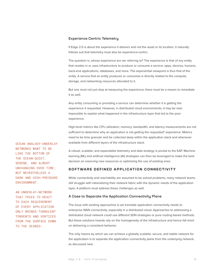#### <span id="page-20-0"></span>Experience Centric Telemetry

If Edge 2.0 is about the experience it delivers and not the asset or its location, it naturally follows suit that telemetry must also be experience-centric.

The question is, whose experience are we referring to? The experience is that of any entity that resides in or uses infrastructure to produce or consume a service: apps, devices, humans, back-end applications, databases, and more. The experiential viewpoint is thus that of the entity. A service that an entity produces or consumes is directly related to the compute, storage, and networking resources allocated to it.

But one must not just stop at measuring the experience; there must be a means to remediate it as well.

Any entity consuming or providing a service can determine whether it is getting the experience it requested. However, in distributed cloud environments, it may be near impossible to explain what happened in the infrastructure layer that led to the poor experience.

High-level metrics like CPU utilization, memory, bandwidth, and latency measurements are not sufficient to determine why an application is not getting the requested<sup>3</sup> experience. Metrics need to be time granular and be collected deep within the application stack and whenever available from different layers of the infrastructure stack.

A robust, scalable, and expandable telemetry and data strategy is pivotal to the EAP. Machine learning (ML) and artificial intelligence (AI) strategies can then be leveraged to make the best decision on reserving new resources or optimizing the use of existing ones.

#### **SOFTWARE DEFINED APPLICATION CONNECTIVITY**

While connectivity and reachability are assumed to be solved problems, many network teams still struggle with rationalizing their network fabric with the dynamic needs of the application layer. A platform must address these challenges as well.

#### A Case to Separate the Application Connectivity Plane

The issue with existing approaches is we translate application connectivity needs to enterprise WAN connectivity, especially in a distributed cloud. Approaches to addressing a distributed cloud network could use different SDN strategies or pure routing-based methods. But these solutions heavily rely on the homogeneity of the infrastructure and hence fall short on delivering a consistent behavior.

The only means by which we can achieve a globally scalable, secure, and stable network for the application is to separate the application connectivity plane from the underlying network, as discussed next.

OCEAN ANALOGY—UNDERLAY NETWORKS WANT TO BE LIKE THE BOTTOM OF THE OCEAN—QUIET, SERENE, AND ALMOST UNCHANGING OVER TIME; BUT NEVERTHELESS A DARK AND HIGH-PRESSURE ENVIRONMENT.

AN UNDERLAY-NETWORK THAT TRIES TO REACT TO EACH REQUIREMENT OF EVERY APPLICATION ONLY BRINGS TURBULENT TORRENTS AND VORTICES FROM THE SURFACE DOWN TO THE SEABED.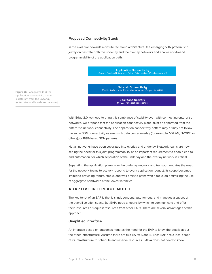#### <span id="page-21-0"></span>Proposed Connectivity Stack

In the evolution towards a distributed cloud architecture, the emerging SDN pattern is to jointly orchestrate both the underlay and the overlay networks and enable end-to-end programmability of the application path.

> Application Connectivity (Secure Overlay Networks — Policy Drive and end2end encrypted)

Network Connectivity (Dedicated circuits, Enterprise Networks, Corporate WAN)

**Figure 11:** Recognizes that the application connectivity plane is different from the underlay (enterprise and backbone networks)

Backbone Network (MPLS, Transport aggregates)

With Edge 2.0 we need to bring this semblance of stability even with connecting enterprise networks. We propose that the application connectivity plane must be separated from the enterprise network connectivity. The application connectivity pattern may or may not follow the same SDN connectivity as seen with data center overlay (for example, VXLAN, NVGRE, or others), or BGP-based SDN patterns.

Not all networks have been separated into overlay and underlay. Network teams are now seeing the need for this joint programmability as an important requirement to enable end-toend automation, for which separation of the underlay and the overlay network is critical.

Separating the application plane from the underlay network and transport negates the need for the network teams to actively respond to every application request. Its scope becomes limited to providing robust, stable, and well-defined paths with a focus on optimizing the use of aggregate bandwidth at the lowest latencies.

#### **ADAPTIVE INTERFACE MODEL**

The key tenet of an EAP is that it is independent, autonomous, and manages a subset of the overall solution space. But EAPs need a means by which to communicate and offer their resources or request resources from other EAPs. There are several advantages of this approach.

#### Simplified Interface

An interface based on outcomes negates the need for the EAP to know the details about the other infrastructure. Assume there are two EAPs: A and B. Each EAP has a local scope of its infrastructure to schedule and reserve resources. EAP-A does not need to know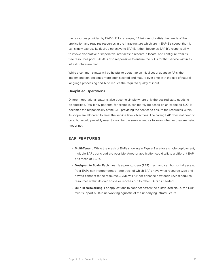<span id="page-22-0"></span>the resources provided by EAP-B. If, for example, EAP-A cannot satisfy the needs of the application and requires resources in the infrastructure which are in EAP-B's scope, then it can simply express its desired objective to EAP-B. It then becomes EAP-B's responsibility to invoke declarative or imperative interfaces to reserve, allocate, and configure from its free resources pool. EAP-B is also responsible to ensure the SLOs for that service within its infrastructure are met.

While a common syntax will be helpful to bootstrap an initial set of adaptive APIs, the implementation becomes more sophisticated and mature over time with the use of natural language processing and AI to reduce the required quality of input.

#### Simplified Operations

Different operational patterns also become simple where only the desired state needs to be specified. Resiliency patterns, for example, can merely be based on an expected SLO. It becomes the responsibility of the EAP providing the service to ensure the resources within its scope are allocated to meet the service level objectives. The calling EAP does not need to care, but would probably need to monitor the service metrics to know whether they are being met or not.

#### **EAP FEATURES**

- **Multi-Tenant**: While the mesh of EAPs showing in Figure 9 are for a single deployment, multiple EAPs per cloud are possible. Another application could talk to a different EAP or a mesh of EAPs.
- **Designed to Scale**: Each mesh is a peer-to-peer (P2P) mesh and can horizontally scale. Peer EAPs can independently keep track of which EAPs have what resource type and how to connect to the resource. AI/ML will further enhance how each EAP schedules resources within its own scope or reaches out to other EAPs as needed.
- **Built-in Networking**: For applications to connect across the distributed cloud, the EAP must support built-in networking agnostic of the underlying infrastructure.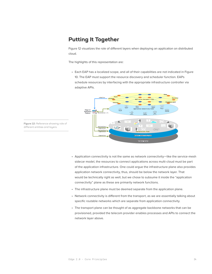# <span id="page-23-0"></span>**Putting It Together**

Figure 12 visualizes the role of different layers when deploying an application on distributed cloud.

The highlights of this representation are:

• Each EAP has a localized scope, and all of their capabilities are not indicated in Figure 10. The EAP must support the resource discovery and scheduler function. EAPs schedule resources by interfacing with the appropriate infrastructure controller via adaptive APIs.



**Figure 12:** Reference showing role of different entities and layers.

- Application connectivity is not the same as network connectivity—like the service-mesh sidecar model, the resources to connect applications across multi-cloud must be part of the application infrastructure. One could argue the infrastructure plane also provides application network connectivity, thus, should be below the network layer. That would be technically right as well, but we chose to subsume it inside the "application connectivity" plane as these are primarily network functions.
- The infrastructure plane must be deemed separate from the application plane.
- Network connectivity is different from the transport, as we are essentially talking about specific routable networks which are separate from application connectivity.
- The transport plane can be thought of as aggregate backbone networks that can be provisioned, provided the telecom provider enables processes and APIs to connect the network layer above.